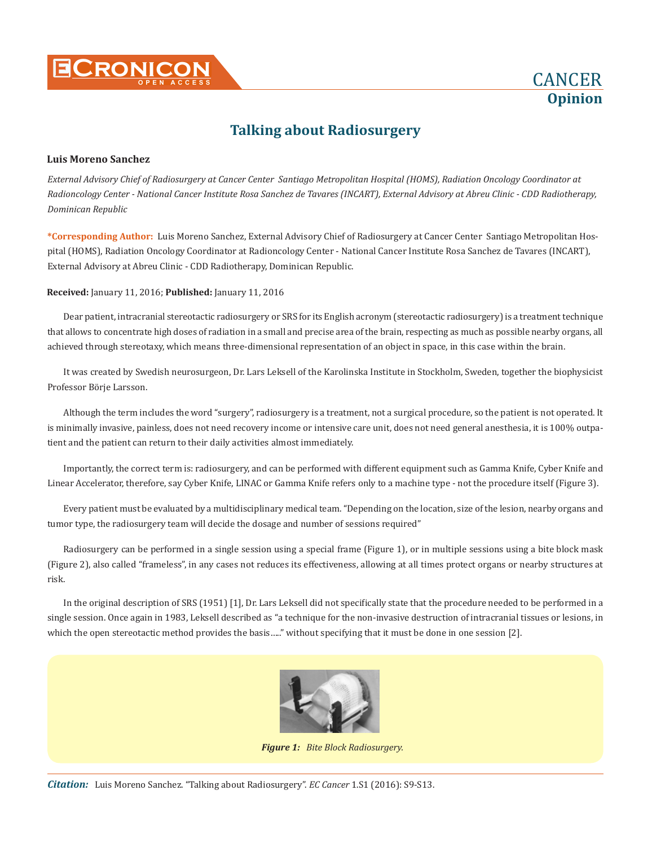



#### **Luis Moreno Sanchez**

*External Advisory Chief of Radiosurgery at Cancer Center Santiago Metropolitan Hospital (HOMS), Radiation Oncology Coordinator at Radioncology Center - National Cancer Institute Rosa Sanchez de Tavares (INCART), External Advisory at Abreu Clinic - CDD Radiotherapy, Dominican Republic*

**\*Corresponding Author:** Luis Moreno Sanchez, External Advisory Chief of Radiosurgery at Cancer Center Santiago Metropolitan Hospital (HOMS), Radiation Oncology Coordinator at Radioncology Center - National Cancer Institute Rosa Sanchez de Tavares (INCART), External Advisory at Abreu Clinic - CDD Radiotherapy, Dominican Republic.

#### **Received:** January 11, 2016; **Published:** January 11, 2016

Dear patient, intracranial stereotactic radiosurgery or SRS for its English acronym (stereotactic radiosurgery) is a treatment technique that allows to concentrate high doses of radiation in a small and precise area of the brain, respecting as much as possible nearby organs, all achieved through stereotaxy, which means three-dimensional representation of an object in space, in this case within the brain.

It was created by Swedish neurosurgeon, Dr. Lars Leksell of the Karolinska Institute in Stockholm, Sweden, together the biophysicist Professor Börje Larsson.

Although the term includes the word "surgery", radiosurgery is a treatment, not a surgical procedure, so the patient is not operated. It is minimally invasive, painless, does not need recovery income or intensive care unit, does not need general anesthesia, it is 100% outpatient and the patient can return to their daily activities almost immediately.

Importantly, the correct term is: radiosurgery, and can be performed with different equipment such as Gamma Knife, Cyber Knife and Linear Accelerator, therefore, say Cyber Knife, LINAC or Gamma Knife refers only to a machine type - not the procedure itself (Figure 3).

Every patient must be evaluated by a multidisciplinary medical team. "Depending on the location, size of the lesion, nearby organs and tumor type, the radiosurgery team will decide the dosage and number of sessions required"

Radiosurgery can be performed in a single session using a special frame (Figure 1), or in multiple sessions using a bite block mask (Figure 2), also called "frameless", in any cases not reduces its effectiveness, allowing at all times protect organs or nearby structures at risk.

In the original description of SRS (1951) [1], Dr. Lars Leksell did not specifically state that the procedure needed to be performed in a single session. Once again in 1983, Leksell described as "a technique for the non-invasive destruction of intracranial tissues or lesions, in which the open stereotactic method provides the basis....." without specifying that it must be done in one session [2].



*Figure 1: Bite Block Radiosurgery.*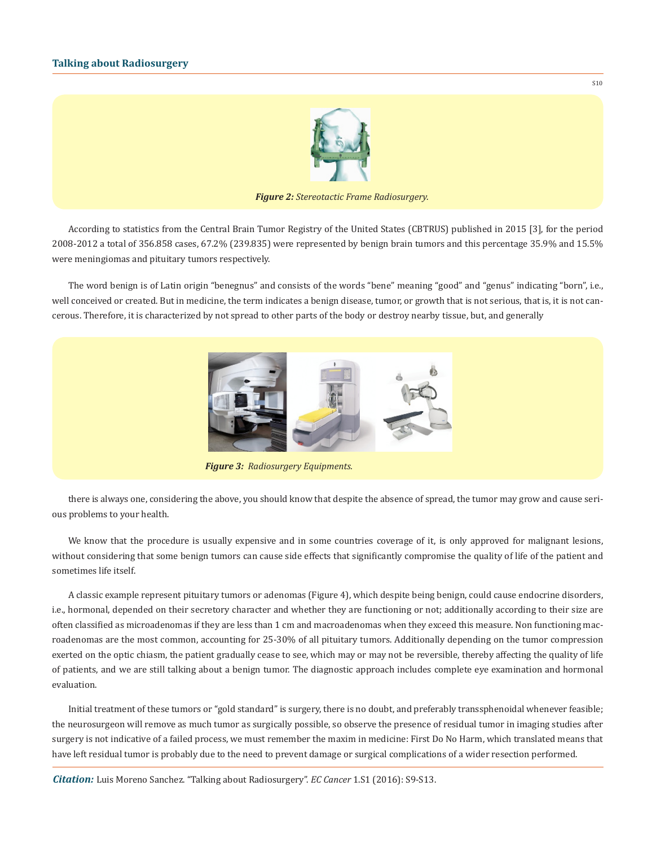

*Figure 2: Stereotactic Frame Radiosurgery.*

According to statistics from the Central Brain Tumor Registry of the United States (CBTRUS) published in 2015 [3], for the period 2008-2012 a total of 356.858 cases, 67.2% (239.835) were represented by benign brain tumors and this percentage 35.9% and 15.5% were meningiomas and pituitary tumors respectively.

The word benign is of Latin origin "benegnus" and consists of the words "bene" meaning "good" and "genus" indicating "born", i.e., well conceived or created. But in medicine, the term indicates a benign disease, tumor, or growth that is not serious, that is, it is not cancerous. Therefore, it is characterized by not spread to other parts of the body or destroy nearby tissue, but, and generally



there is always one, considering the above, you should know that despite the absence of spread, the tumor may grow and cause serious problems to your health.

We know that the procedure is usually expensive and in some countries coverage of it, is only approved for malignant lesions, without considering that some benign tumors can cause side effects that significantly compromise the quality of life of the patient and sometimes life itself.

A classic example represent pituitary tumors or adenomas (Figure 4), which despite being benign, could cause endocrine disorders, i.e., hormonal, depended on their secretory character and whether they are functioning or not; additionally according to their size are often classified as microadenomas if they are less than 1 cm and macroadenomas when they exceed this measure. Non functioning macroadenomas are the most common, accounting for 25-30% of all pituitary tumors. Additionally depending on the tumor compression exerted on the optic chiasm, the patient gradually cease to see, which may or may not be reversible, thereby affecting the quality of life of patients, and we are still talking about a benign tumor. The diagnostic approach includes complete eye examination and hormonal evaluation.

Initial treatment of these tumors or "gold standard" is surgery, there is no doubt, and preferably transsphenoidal whenever feasible; the neurosurgeon will remove as much tumor as surgically possible, so observe the presence of residual tumor in imaging studies after surgery is not indicative of a failed process, we must remember the maxim in medicine: First Do No Harm, which translated means that have left residual tumor is probably due to the need to prevent damage or surgical complications of a wider resection performed.

*Citation:* Luis Moreno Sanchez. "Talking about Radiosurgery". *EC Cancer* 1.S1 (2016): S9-S13.

S10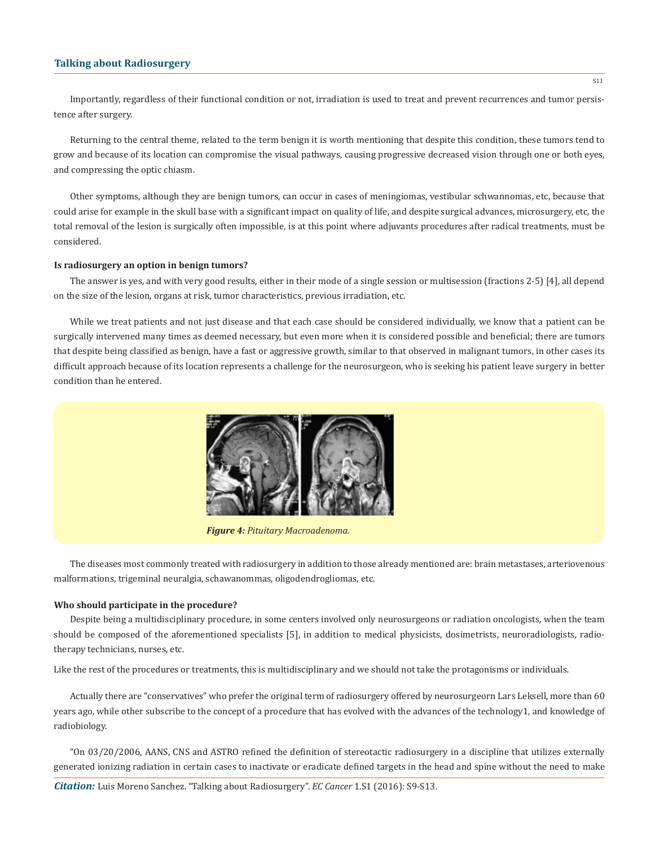Importantly, regardless of their functional condition or not, irradiation is used to treat and prevent recurrences and tumor persistence after surgery.

Returning to the central theme, related to the term benign it is worth mentioning that despite this condition, these tumors tend to grow and because of its location can compromise the visual pathways, causing progressive decreased vision through one or both eyes, and compressing the optic chiasm.

Other symptoms, although they are benign tumors, can occur in cases of meningiomas, vestibular schwannomas, etc, because that could arise for example in the skull base with a significant impact on quality of life, and despite surgical advances, microsurgery, etc, the total removal of the lesion is surgically often impossible, is at this point where adjuvants procedures after radical treatments, must be considered.

#### **Is radiosurgery an option in benign tumors?**

The answer is yes, and with very good results, either in their mode of a single session or multisession (fractions 2-5) [4], all depend on the size of the lesion, organs at risk, tumor characteristics, previous irradiation, etc.

While we treat patients and not just disease and that each case should be considered individually, we know that a patient can be surgically intervened many times as deemed necessary, but even more when it is considered possible and beneficial; there are tumors that despite being classified as benign, have a fast or aggressive growth, similar to that observed in malignant tumors, in other cases its difficult approach because of its location represents a challenge for the neurosurgeon, who is seeking his patient leave surgery in better condition than he entered.



*Figure 4: Pituitary Macroadenoma.*

The diseases most commonly treated with radiosurgery in addition to those already mentioned are: brain metastases, arteriovenous malformations, trigeminal neuralgia, schawanommas, oligodendrogliomas, etc.

#### **Who should participate in the procedure?**

Despite being a multidisciplinary procedure, in some centers involved only neurosurgeons or radiation oncologists, when the team should be composed of the aforementioned specialists [5], in addition to medical physicists, dosimetrists, neuroradiologists, radiotherapy technicians, nurses, etc.

Like the rest of the procedures or treatments, this is multidisciplinary and we should not take the protagonisms or individuals.

Actually there are "conservatives" who prefer the original term of radiosurgery offered by neurosurgeorn Lars Leksell, more than 60 years ago, while other subscribe to the concept of a procedure that has evolved with the advances of the technology1, and knowledge of radiobiology.

"On 03/20/2006, AANS, CNS and ASTRO refined the definition of stereotactic radiosurgery in a discipline that utilizes externally generated ionizing radiation in certain cases to inactivate or eradicate defined targets in the head and spine without the need to make

*Citation:* Luis Moreno Sanchez. "Talking about Radiosurgery". *EC Cancer* 1.S1 (2016): S9-S13.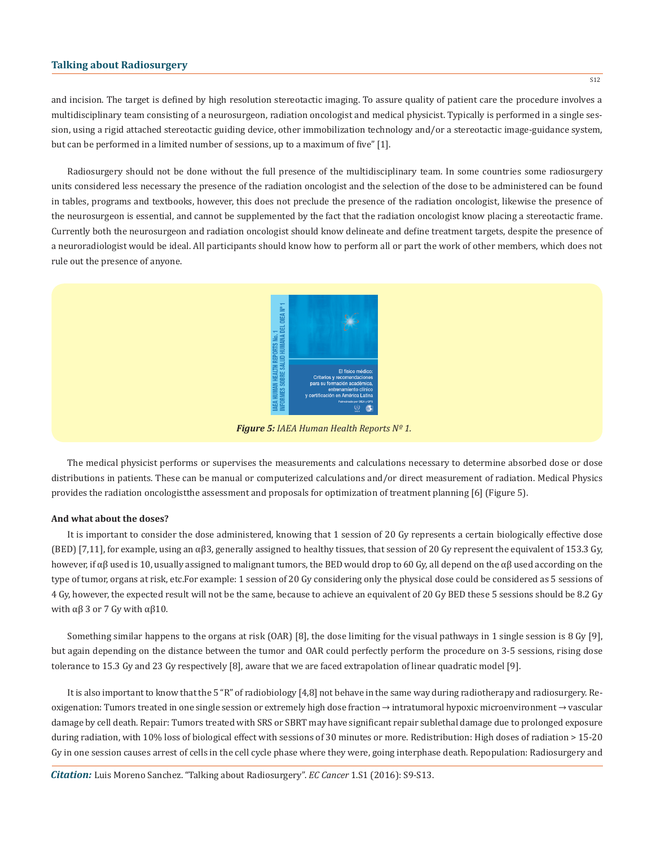and incision. The target is defined by high resolution stereotactic imaging. To assure quality of patient care the procedure involves a multidisciplinary team consisting of a neurosurgeon, radiation oncologist and medical physicist. Typically is performed in a single session, using a rigid attached stereotactic guiding device, other immobilization technology and/or a stereotactic image-guidance system, but can be performed in a limited number of sessions, up to a maximum of five" [1].

Radiosurgery should not be done without the full presence of the multidisciplinary team. In some countries some radiosurgery units considered less necessary the presence of the radiation oncologist and the selection of the dose to be administered can be found in tables, programs and textbooks, however, this does not preclude the presence of the radiation oncologist, likewise the presence of the neurosurgeon is essential, and cannot be supplemented by the fact that the radiation oncologist know placing a stereotactic frame. Currently both the neurosurgeon and radiation oncologist should know delineate and define treatment targets, despite the presence of a neuroradiologist would be ideal. All participants should know how to perform all or part the work of other members, which does not rule out the presence of anyone.



*Figure 5: IAEA Human Health Reports Nº 1.*

The medical physicist performs or supervises the measurements and calculations necessary to determine absorbed dose or dose distributions in patients. These can be manual or computerized calculations and/or direct measurement of radiation. Medical Physics provides the radiation oncologistthe assessment and proposals for optimization of treatment planning [6] (Figure 5).

#### **And what about the doses?**

It is important to consider the dose administered, knowing that 1 session of 20 Gy represents a certain biologically effective dose (BED) [7,11], for example, using an  $\alpha\beta$ 3, generally assigned to healthy tissues, that session of 20 Gy represent the equivalent of 153.3 Gy, however, if αβ used is 10, usually assigned to malignant tumors, the BED would drop to 60 Gy, all depend on the αβ used according on the type of tumor, organs at risk, etc.For example: 1 session of 20 Gy considering only the physical dose could be considered as 5 sessions of 4 Gy, however, the expected result will not be the same, because to achieve an equivalent of 20 Gy BED these 5 sessions should be 8.2 Gy with  $\alpha$ β 3 or 7 Gy with  $\alpha$ β10.

Something similar happens to the organs at risk (OAR) [8], the dose limiting for the visual pathways in 1 single session is 8 Gy [9], but again depending on the distance between the tumor and OAR could perfectly perform the procedure on 3-5 sessions, rising dose tolerance to 15.3 Gy and 23 Gy respectively [8], aware that we are faced extrapolation of linear quadratic model [9].

It is also important to know that the 5 "R" of radiobiology [4,8] not behave in the same way during radiotherapy and radiosurgery. Reoxigenation: Tumors treated in one single session or extremely high dose fraction → intratumoral hypoxic microenvironment → vascular damage by cell death. Repair: Tumors treated with SRS or SBRT may have significant repair sublethal damage due to prolonged exposure during radiation, with 10% loss of biological effect with sessions of 30 minutes or more. Redistribution: High doses of radiation > 15-20 Gy in one session causes arrest of cells in the cell cycle phase where they were, going interphase death. Repopulation: Radiosurgery and

*Citation:* Luis Moreno Sanchez. "Talking about Radiosurgery". *EC Cancer* 1.S1 (2016): S9-S13.